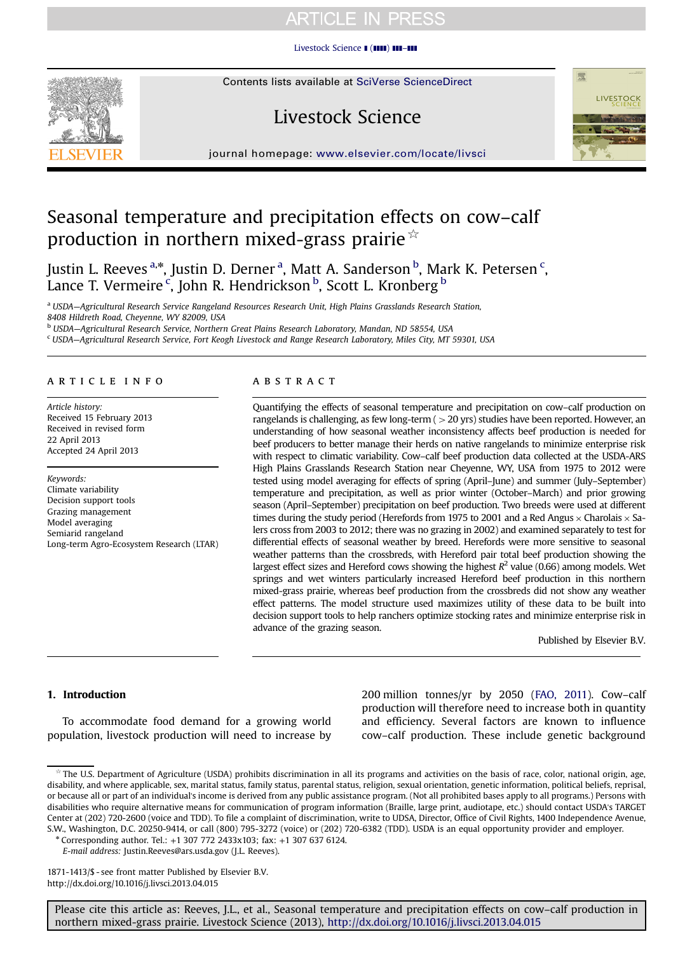[Livestock Science](http://dx.doi.org/10.1016/j.livsci.2013.04.015) **1 (1111) 111-111** 

# Livestock Science



journal homepage: <www.elsevier.com/locate/livsci>

## Seasonal temperature and precipitation effects on cow–calf production in northern mixed-grass prairie  $\dot{\mathbb{R}}$

Justin L. Reeves <sup>a,</sup>\*, Justin D. Derner <sup>a</sup>, Matt A. Sanderson <sup>b</sup>, Mark K. Petersen <sup>c</sup>, Lance T. Vermeire<sup>c</sup>, John R. Hendrickson <sup>b</sup>, Scott L. Kronberg <sup>b</sup>

<sup>a</sup> USDA—Agricultural Research Service Rangeland Resources Research Unit, High Plains Grasslands Research Station,

8408 Hildreth Road, Cheyenne, WY 82009, USA

<sup>b</sup> USDA—Agricultural Research Service, Northern Great Plains Research Laboratory, Mandan, ND 58554, USA

<sup>c</sup> USDA—Agricultural Research Service, Fort Keogh Livestock and Range Research Laboratory, Miles City, MT 59301, USA

## article info

Article history: Received 15 February 2013 Received in revised form 22 April 2013 Accepted 24 April 2013

Keywords: Climate variability Decision support tools Grazing management Model averaging Semiarid rangeland Long-term Agro-Ecosystem Research (LTAR)

## ABSTRACT

Quantifying the effects of seasonal temperature and precipitation on cow–calf production on rangelands is challenging, as few long-term  $(>20 \text{ yrs})$  studies have been reported. However, an understanding of how seasonal weather inconsistency affects beef production is needed for beef producers to better manage their herds on native rangelands to minimize enterprise risk with respect to climatic variability. Cow–calf beef production data collected at the USDA-ARS High Plains Grasslands Research Station near Cheyenne, WY, USA from 1975 to 2012 were tested using model averaging for effects of spring (April–June) and summer (July–September) temperature and precipitation, as well as prior winter (October–March) and prior growing season (April–September) precipitation on beef production. Two breeds were used at different times during the study period (Herefords from 1975 to 2001 and a Red Angus  $\times$  Charolais  $\times$  Salers cross from 2003 to 2012; there was no grazing in 2002) and examined separately to test for differential effects of seasonal weather by breed. Herefords were more sensitive to seasonal weather patterns than the crossbreds, with Hereford pair total beef production showing the largest effect sizes and Hereford cows showing the highest  $R^2$  value (0.66) among models. Wet springs and wet winters particularly increased Hereford beef production in this northern mixed-grass prairie, whereas beef production from the crossbreds did not show any weather effect patterns. The model structure used maximizes utility of these data to be built into decision support tools to help ranchers optimize stocking rates and minimize enterprise risk in advance of the grazing season.

Published by Elsevier B.V.

## 1. Introduction

To accommodate food demand for a growing world population, livestock production will need to increase by

200 million tonnes/yr by 2050 ([FAO, 2011\)](#page-7-0). Cow–calf production will therefore need to increase both in quantity and efficiency. Several factors are known to influence cow–calf production. These include genetic background

1871-1413/\$ - see front matter Published by Elsevier B.V. <http://dx.doi.org/10.1016/j.livsci.2013.04.015>

<sup>☆</sup> The U.S. Department of Agriculture (USDA) prohibits discrimination in all its programs and activities on the basis of race, color, national origin, age, disability, and where applicable, sex, marital status, family status, parental status, religion, sexual orientation, genetic information, political beliefs, reprisal, or because all or part of an individual's income is derived from any public assistance program. (Not all prohibited bases apply to all programs.) Persons with disabilities who require alternative means for communication of program information (Braille, large print, audiotape, etc.) should contact USDA's TARGET Center at (202) 720-2600 (voice and TDD). To file a complaint of discrimination, write to UDSA, Director, Office of Civil Rights, 1400 Independence Avenue, S.W., Washington, D.C. 20250-9414, or call (800) 795-3272 (voice) or (202) 720-6382 (TDD). USDA is an equal opportunity provider and employer.

<sup>n</sup> Corresponding author. Tel.: +1 307 772 2433x103; fax: +1 307 637 6124.

E-mail address: [Justin.Reeves@ars.usda.gov \(J.L. Reeves\)](mailto:Justin.Reeves@ars.usda.gov).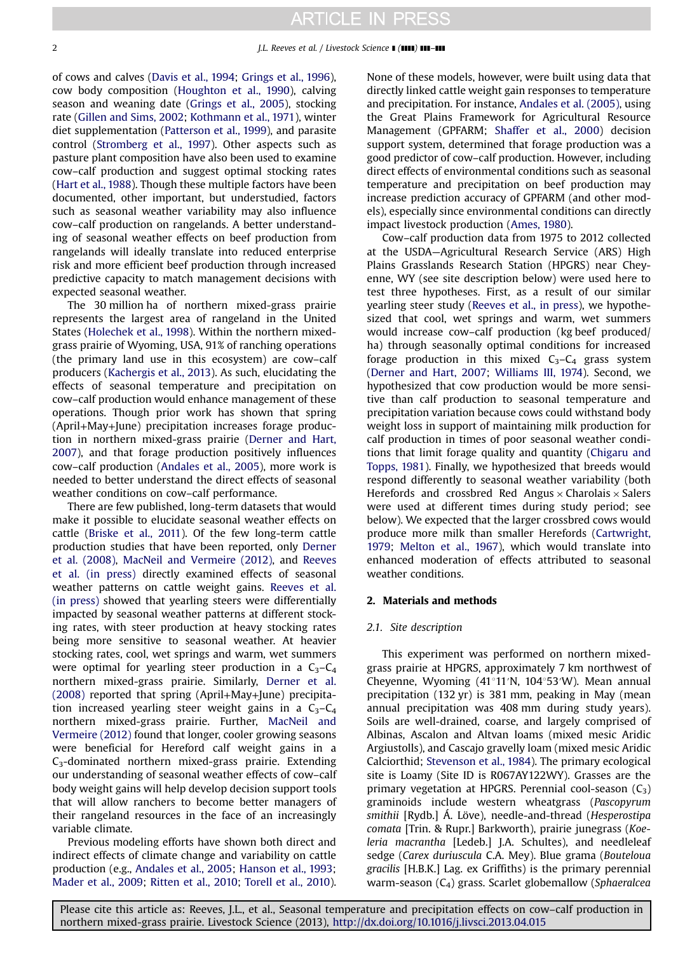of cows and calves [\(Davis et al., 1994;](#page-7-0) [Grings et al., 1996](#page-7-0)), cow body composition ([Houghton et al., 1990\)](#page-7-0), calving season and weaning date [\(Grings et al., 2005\)](#page-7-0), stocking rate ([Gillen and Sims, 2002](#page-7-0); [Kothmann et al., 1971\)](#page-7-0), winter diet supplementation [\(Patterson et al., 1999\)](#page-8-0), and parasite control [\(Stromberg et al., 1997](#page-8-0)). Other aspects such as pasture plant composition have also been used to examine cow–calf production and suggest optimal stocking rates ([Hart et al., 1988](#page-7-0)). Though these multiple factors have been documented, other important, but understudied, factors such as seasonal weather variability may also influence cow–calf production on rangelands. A better understanding of seasonal weather effects on beef production from rangelands will ideally translate into reduced enterprise risk and more efficient beef production through increased predictive capacity to match management decisions with expected seasonal weather.

The 30 million ha of northern mixed-grass prairie represents the largest area of rangeland in the United States ([Holechek et al., 1998](#page-7-0)). Within the northern mixedgrass prairie of Wyoming, USA, 91% of ranching operations (the primary land use in this ecosystem) are cow–calf producers [\(Kachergis et al., 2013](#page-7-0)). As such, elucidating the effects of seasonal temperature and precipitation on cow–calf production would enhance management of these operations. Though prior work has shown that spring (April+May+June) precipitation increases forage production in northern mixed-grass prairie [\(Derner and Hart,](#page-7-0) [2007\)](#page-7-0), and that forage production positively influences cow–calf production [\(Andales et al., 2005](#page-7-0)), more work is needed to better understand the direct effects of seasonal weather conditions on cow–calf performance.

There are few published, long-term datasets that would make it possible to elucidate seasonal weather effects on cattle [\(Briske et al., 2011](#page-7-0)). Of the few long-term cattle production studies that have been reported, only [Derner](#page-7-0) [et al. \(2008\),](#page-7-0) [MacNeil and Vermeire \(2012\)](#page-7-0), and [Reeves](#page-8-0) [et al. \(in press\)](#page-8-0) directly examined effects of seasonal weather patterns on cattle weight gains. [Reeves et al.](#page-8-0) [\(in press\)](#page-8-0) showed that yearling steers were differentially impacted by seasonal weather patterns at different stocking rates, with steer production at heavy stocking rates being more sensitive to seasonal weather. At heavier stocking rates, cool, wet springs and warm, wet summers were optimal for yearling steer production in a  $C_3 - C_4$ northern mixed-grass prairie. Similarly, [Derner et al.](#page-7-0) [\(2008\)](#page-7-0) reported that spring (April+May+June) precipitation increased yearling steer weight gains in a  $C_3 - C_4$ northern mixed-grass prairie. Further, [MacNeil and](#page-7-0) [Vermeire \(2012\)](#page-7-0) found that longer, cooler growing seasons were beneficial for Hereford calf weight gains in a  $C_3$ -dominated northern mixed-grass prairie. Extending our understanding of seasonal weather effects of cow–calf body weight gains will help develop decision support tools that will allow ranchers to become better managers of their rangeland resources in the face of an increasingly variable climate.

Previous modeling efforts have shown both direct and indirect effects of climate change and variability on cattle production (e.g., [Andales et al., 2005;](#page-7-0) [Hanson et al., 1993](#page-7-0); [Mader et al., 2009](#page-7-0); [Ritten et al., 2010;](#page-8-0) [Torell et al., 2010](#page-8-0)).

None of these models, however, were built using data that directly linked cattle weight gain responses to temperature and precipitation. For instance, [Andales et al. \(2005\),](#page-7-0) using the Great Plains Framework for Agricultural Resource Management (GPFARM; [Shaffer et al., 2000\)](#page-8-0) decision support system, determined that forage production was a good predictor of cow–calf production. However, including direct effects of environmental conditions such as seasonal temperature and precipitation on beef production may increase prediction accuracy of GPFARM (and other models), especially since environmental conditions can directly impact livestock production ([Ames, 1980\)](#page-7-0).

Cow–calf production data from 1975 to 2012 collected at the USDA—Agricultural Research Service (ARS) High Plains Grasslands Research Station (HPGRS) near Cheyenne, WY (see site description below) were used here to test three hypotheses. First, as a result of our similar yearling steer study ([Reeves et al., in press](#page-8-0)), we hypothesized that cool, wet springs and warm, wet summers would increase cow–calf production (kg beef produced/ ha) through seasonally optimal conditions for increased forage production in this mixed  $C_3 - C_4$  grass system ([Derner and Hart, 2007;](#page-7-0) [Williams III, 1974\)](#page-8-0). Second, we hypothesized that cow production would be more sensitive than calf production to seasonal temperature and precipitation variation because cows could withstand body weight loss in support of maintaining milk production for calf production in times of poor seasonal weather conditions that limit forage quality and quantity [\(Chigaru and](#page-7-0) [Topps, 1981](#page-7-0)). Finally, we hypothesized that breeds would respond differently to seasonal weather variability (both Herefords and crossbred Red Angus  $\times$  Charolais  $\times$  Salers were used at different times during study period; see below). We expected that the larger crossbred cows would produce more milk than smaller Herefords [\(Cartwright,](#page-7-0) [1979](#page-7-0); [Melton et al., 1967](#page-7-0)), which would translate into enhanced moderation of effects attributed to seasonal weather conditions.

### 2. Materials and methods

#### 2.1. Site description

This experiment was performed on northern mixedgrass prairie at HPGRS, approximately 7 km northwest of Cheyenne, Wyoming  $(41^{\circ}11^{\prime}N, 104^{\circ}53^{\prime}W)$ . Mean annual precipitation (132 yr) is 381 mm, peaking in May (mean annual precipitation was 408 mm during study years). Soils are well-drained, coarse, and largely comprised of Albinas, Ascalon and Altvan loams (mixed mesic Aridic Argiustolls), and Cascajo gravelly loam (mixed mesic Aridic Calciorthid; [Stevenson et al., 1984\)](#page-8-0). The primary ecological site is Loamy (Site ID is R067AY122WY). Grasses are the primary vegetation at HPGRS. Perennial cool-season  $(C_3)$ graminoids include western wheatgrass (Pascopyrum smithii [Rydb.] Á. Löve), needle-and-thread (Hesperostipa comata [Trin. & Rupr.] Barkworth), prairie junegrass (Koeleria macrantha [Ledeb.] J.A. Schultes), and needleleaf sedge (Carex duriuscula C.A. Mey). Blue grama (Bouteloua gracilis [H.B.K.] Lag. ex Griffiths) is the primary perennial warm-season  $(C_4)$  grass. Scarlet globemallow (Sphaeralcea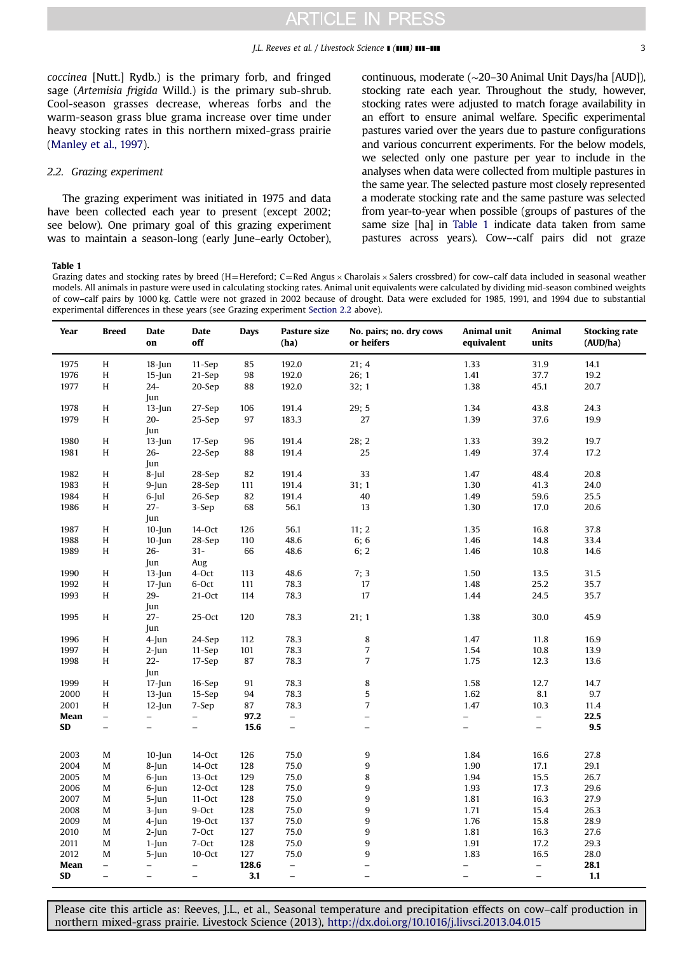<span id="page-2-0"></span>coccinea [Nutt.] Rydb.) is the primary forb, and fringed sage (Artemisia frigida Willd.) is the primary sub-shrub. Cool-season grasses decrease, whereas forbs and the warm-season grass blue grama increase over time under heavy stocking rates in this northern mixed-grass prairie ([Manley et al., 1997\)](#page-7-0).

## 2.2. Grazing experiment

The grazing experiment was initiated in 1975 and data have been collected each year to present (except 2002; see below). One primary goal of this grazing experiment was to maintain a season-long (early June–early October),

continuous, moderate (∼20–30 Animal Unit Days/ha [AUD]), stocking rate each year. Throughout the study, however, stocking rates were adjusted to match forage availability in an effort to ensure animal welfare. Specific experimental pastures varied over the years due to pasture configurations and various concurrent experiments. For the below models, we selected only one pasture per year to include in the analyses when data were collected from multiple pastures in the same year. The selected pasture most closely represented a moderate stocking rate and the same pasture was selected from year-to-year when possible (groups of pastures of the same size [ha] in Table 1 indicate data taken from same pastures across years). Cow–-calf pairs did not graze

### Table 1

Grazing dates and stocking rates by breed (H=Hereford; C=Red Angus  $\times$  Charolais  $\times$  Salers crossbred) for cow-calf data included in seasonal weather models. All animals in pasture were used in calculating stocking rates. Animal unit equivalents were calculated by dividing mid-season combined weights of cow–calf pairs by 1000 kg. Cattle were not grazed in 2002 because of drought. Data were excluded for 1985, 1991, and 1994 due to substantial experimental differences in these years (see Grazing experiment Section 2.2 above).

| Year | <b>Breed</b>             | <b>Date</b><br>on        | Date<br>off              | <b>Days</b> | Pasture size<br>(ha)     | No. pairs; no. dry cows<br>or heifers | Animal unit<br>equivalent | Animal<br>units          | <b>Stocking rate</b><br>(AUD/ha) |
|------|--------------------------|--------------------------|--------------------------|-------------|--------------------------|---------------------------------------|---------------------------|--------------------------|----------------------------------|
| 1975 | H                        | $18$ -Jun                | $11-Sep$                 | 85          | 192.0                    | 21:4                                  | 1.33                      | 31.9                     | 14.1                             |
| 1976 | H                        | $15$ -Jun                | 21-Sep                   | 98          | 192.0                    | 26; 1                                 | 1.41                      | 37.7                     | 19.2                             |
| 1977 | H                        | $24-$                    | 20-Sep                   | 88          | 192.0                    | 32; 1                                 | 1.38                      | 45.1                     | 20.7                             |
|      |                          | Jun                      |                          |             |                          |                                       |                           |                          |                                  |
| 1978 | H                        | $13$ -Jun                | 27-Sep                   | 106         | 191.4                    | 29:5                                  | 1.34                      | 43.8                     | 24.3                             |
| 1979 | H                        | $20 -$                   | 25-Sep                   | 97          | 183.3                    | 27                                    | 1.39                      | 37.6                     | 19.9                             |
|      |                          | Jun                      |                          |             |                          |                                       |                           |                          |                                  |
| 1980 | H                        | $13$ -Jun                | 17-Sep                   | 96          | 191.4                    | 28; 2                                 | 1.33                      | 39.2                     | 19.7                             |
| 1981 | H                        | $26-$                    | 22-Sep                   | 88          | 191.4                    | 25                                    | 1.49                      | 37.4                     | 17.2                             |
|      |                          | Jun                      |                          |             |                          |                                       |                           |                          |                                  |
| 1982 | Η                        | $8$ -Jul                 | 28-Sep                   | 82          | 191.4                    | 33                                    | 1.47                      | 48.4                     | 20.8                             |
| 1983 | H                        | $9$ -Jun                 | 28-Sep                   | 111         | 191.4                    | 31; 1                                 | 1.30                      | 41.3                     | 24.0                             |
| 1984 | H                        | $6$ -Jul                 | 26-Sep                   | 82          | 191.4                    | 40                                    | 1.49                      | 59.6                     | 25.5                             |
| 1986 | H                        | $27 -$                   | 3-Sep                    | 68          | 56.1                     | 13                                    | 1.30                      | 17.0                     | 20.6                             |
|      |                          | Jun                      |                          |             |                          |                                       |                           |                          |                                  |
| 1987 | H                        | $10$ -Jun                | 14-Oct                   | 126         | 56.1                     | 11; 2                                 | 1.35                      | 16.8                     | 37.8                             |
| 1988 | H                        | $10$ -Jun                | 28-Sep                   | 110         | 48.6                     | 6;6                                   | 1.46                      | 14.8                     | 33.4                             |
| 1989 | H                        | $26 -$                   | $31 -$                   | 66          | 48.6                     | 6; 2                                  | 1.46                      | 10.8                     | 14.6                             |
|      |                          | Jun                      | Aug                      |             |                          |                                       |                           |                          |                                  |
| 1990 | H                        | $13$ -Jun                | 4-Oct                    | 113         | 48.6                     | 7;3                                   | 1.50                      | 13.5                     | 31.5                             |
| 1992 | H                        | $17$ -Jun                | 6-Oct                    | 111         | 78.3                     | 17                                    | 1.48                      | 25.2                     | 35.7                             |
| 1993 | H                        | $29 -$                   | $21-Oct$                 | 114         | 78.3                     | 17                                    | 1.44                      | 24.5                     | 35.7                             |
|      |                          | Jun                      |                          |             |                          |                                       |                           |                          |                                  |
| 1995 | H                        | $27 -$                   | $25-Oct$                 | 120         | 78.3                     | 21; 1                                 | 1.38                      | 30.0                     | 45.9                             |
|      |                          | Jun                      |                          |             |                          |                                       |                           |                          |                                  |
| 1996 | H                        | $4$ -Jun                 | 24-Sep                   | 112         | 78.3                     | 8                                     | 1.47                      | 11.8                     | 16.9                             |
| 1997 | H                        | $2$ -Jun                 | $11-Sep$                 | 101         | 78.3                     | $\sqrt{ }$                            | 1.54                      | 10.8                     | 13.9                             |
| 1998 | H                        | $22 -$                   | 17-Sep                   | 87          | 78.3                     | $\overline{7}$                        | 1.75                      | 12.3                     | 13.6                             |
|      |                          | Jun                      |                          |             |                          |                                       |                           |                          |                                  |
| 1999 | H                        | $17$ -Jun                | 16-Sep                   | 91          | 78.3                     | 8                                     | 1.58                      | 12.7                     | 14.7                             |
| 2000 | H                        | $13$ -Jun                | 15-Sep                   | 94          | 78.3                     | 5                                     | 1.62                      | 8.1                      | 9.7                              |
| 2001 | H                        | $12$ -Jun                | 7-Sep                    | 87          | 78.3                     | $\overline{7}$                        | 1.47                      | 10.3                     | 11.4                             |
| Mean | $\overline{\phantom{a}}$ | $\overline{\phantom{a}}$ | $\overline{\phantom{0}}$ | 97.2        | $\qquad \qquad -$        | $\overline{\phantom{0}}$              | $\overline{\phantom{0}}$  | $\overline{\phantom{a}}$ | 22.5                             |
| SD   | $\overline{\phantom{0}}$ | $\equiv$                 | $\equiv$                 | 15.6        | $\equiv$                 | $\equiv$                              | $\equiv$                  | $\equiv$                 | 9.5                              |
|      |                          |                          |                          |             |                          |                                       |                           |                          |                                  |
| 2003 | M                        | $10$ -Jun                | 14-Oct                   | 126         | 75.0                     | 9                                     | 1.84                      | 16.6                     | 27.8                             |
| 2004 | M                        | $8$ -Jun                 | 14-Oct                   | 128         | 75.0                     | 9                                     | 1.90                      | 17.1                     | 29.1                             |
| 2005 | M                        | $6$ -Jun                 | $13-Oct$                 | 129         | 75.0                     | 8                                     | 1.94                      | 15.5                     | 26.7                             |
| 2006 | M                        | $6$ -Jun                 | $12-Oct$                 | 128         | 75.0                     | 9                                     | 1.93                      | 17.3                     | 29.6                             |
| 2007 | M                        | $5$ -Jun                 | $11-Oct$                 | 128         | 75.0                     | 9                                     | 1.81                      | 16.3                     | 27.9                             |
| 2008 | M                        | $3$ -Jun                 | 9-Oct                    | 128         | 75.0                     | 9                                     | 1.71                      | 15.4                     | 26.3                             |
| 2009 | M                        | $4$ -Jun                 | $19-Oct$                 | 137         | 75.0                     | 9                                     | 1.76                      | 15.8                     | 28.9                             |
| 2010 | M                        | $2$ -Jun                 | 7-Oct                    | 127         | 75.0                     | 9                                     | 1.81                      | 16.3                     | 27.6                             |
| 2011 | M                        | $1$ -Jun                 | 7-Oct                    | 128         | 75.0                     | $\boldsymbol{9}$                      | 1.91                      | 17.2                     | 29.3                             |
| 2012 | M                        | 5-Jun                    | 10-Oct                   | 127         | 75.0                     | 9                                     | 1.83                      | 16.5                     | 28.0                             |
| Mean | $\overline{\phantom{0}}$ | -                        | $\qquad \qquad -$        | 128.6       | $\overline{\phantom{0}}$ | $\overline{a}$                        | $\overline{\phantom{0}}$  | $\equiv$                 | 28.1                             |
| SD   | $\qquad \qquad -$        | $\overline{\phantom{m}}$ | $\overline{\phantom{a}}$ | 3.1         | $\overline{\phantom{0}}$ | $\qquad \qquad -$                     | $\qquad \qquad -$         | $\overline{\phantom{0}}$ | 1.1                              |
|      |                          |                          |                          |             |                          |                                       |                           |                          |                                  |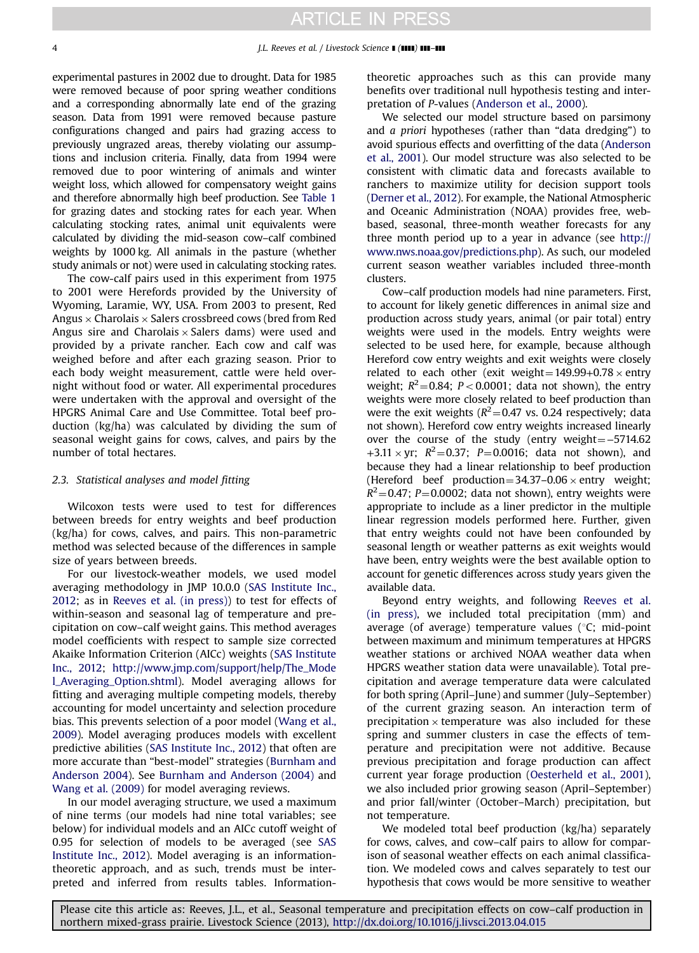experimental pastures in 2002 due to drought. Data for 1985 were removed because of poor spring weather conditions and a corresponding abnormally late end of the grazing season. Data from 1991 were removed because pasture configurations changed and pairs had grazing access to previously ungrazed areas, thereby violating our assumptions and inclusion criteria. Finally, data from 1994 were removed due to poor wintering of animals and winter weight loss, which allowed for compensatory weight gains and therefore abnormally high beef production. See [Table 1](#page-2-0) for grazing dates and stocking rates for each year. When calculating stocking rates, animal unit equivalents were calculated by dividing the mid-season cow–calf combined weights by 1000 kg. All animals in the pasture (whether study animals or not) were used in calculating stocking rates.

The cow-calf pairs used in this experiment from 1975 to 2001 were Herefords provided by the University of Wyoming, Laramie, WY, USA. From 2003 to present, Red Angus  $\times$  Charolais  $\times$  Salers crossbreed cows (bred from Red Angus sire and Charolais  $\times$  Salers dams) were used and provided by a private rancher. Each cow and calf was weighed before and after each grazing season. Prior to each body weight measurement, cattle were held overnight without food or water. All experimental procedures were undertaken with the approval and oversight of the HPGRS Animal Care and Use Committee. Total beef production (kg/ha) was calculated by dividing the sum of seasonal weight gains for cows, calves, and pairs by the number of total hectares.

## 2.3. Statistical analyses and model fitting

Wilcoxon tests were used to test for differences between breeds for entry weights and beef production (kg/ha) for cows, calves, and pairs. This non-parametric method was selected because of the differences in sample size of years between breeds.

For our livestock-weather models, we used model averaging methodology in JMP 10.0.0 ([SAS Institute Inc.,](#page-8-0) [2012](#page-8-0); as in [Reeves et al. \(in press\)](#page-8-0)) to test for effects of within-season and seasonal lag of temperature and precipitation on cow–calf weight gains. This method averages model coefficients with respect to sample size corrected Akaike Information Criterion (AICc) weights ([SAS Institute](#page-8-0) [Inc., 2012;](#page-8-0) [http://www.jmp.com/support/help/The\\_Mode](http://www.jmp.com/support/help/The_Model_Averaging_Option.shtml) [l\\_Averaging\\_Option.shtml\)](http://www.jmp.com/support/help/The_Model_Averaging_Option.shtml). Model averaging allows for fitting and averaging multiple competing models, thereby accounting for model uncertainty and selection procedure bias. This prevents selection of a poor model [\(Wang et al.,](#page-8-0) [2009](#page-8-0)). Model averaging produces models with excellent predictive abilities ([SAS Institute Inc., 2012](#page-8-0)) that often are more accurate than "best-model" strategies ([Burnham and](#page-7-0) [Anderson 2004\)](#page-7-0). See [Burnham and Anderson \(2004\)](#page-7-0) and [Wang et al. \(2009\)](#page-8-0) for model averaging reviews.

In our model averaging structure, we used a maximum of nine terms (our models had nine total variables; see below) for individual models and an AICc cutoff weight of 0.95 for selection of models to be averaged (see [SAS](#page-8-0) [Institute Inc., 2012\)](#page-8-0). Model averaging is an informationtheoretic approach, and as such, trends must be interpreted and inferred from results tables. Informationtheoretic approaches such as this can provide many benefits over traditional null hypothesis testing and interpretation of P-values [\(Anderson et al., 2000\)](#page-7-0).

We selected our model structure based on parsimony and a priori hypotheses (rather than "data dredging") to avoid spurious effects and overfitting of the data [\(Anderson](#page-7-0) [et al., 2001\)](#page-7-0). Our model structure was also selected to be consistent with climatic data and forecasts available to ranchers to maximize utility for decision support tools ([Derner et al., 2012](#page-7-0)). For example, the National Atmospheric and Oceanic Administration (NOAA) provides free, webbased, seasonal, three-month weather forecasts for any three month period up to a year in advance (see [http://](http://www.nws.noaa.gov/predictions.php) [www.nws.noaa.gov/predictions.php\)](http://www.nws.noaa.gov/predictions.php). As such, our modeled current season weather variables included three-month clusters.

Cow–calf production models had nine parameters. First, to account for likely genetic differences in animal size and production across study years, animal (or pair total) entry weights were used in the models. Entry weights were selected to be used here, for example, because although Hereford cow entry weights and exit weights were closely related to each other (exit weight =  $149.99+0.78 \times$  entry weight;  $R^2$ =0.84; P < 0.0001; data not shown), the entry weights were more closely related to beef production than were the exit weights ( $R^2$ =0.47 vs. 0.24 respectively; data not shown). Hereford cow entry weights increased linearly over the course of the study (entry weight = −5714.62 +3.11  $\times$  yr;  $R^2$  = 0.37; P = 0.0016; data not shown), and because they had a linear relationship to beef production (Hereford beef production =  $34.37-0.06 \times$  entry weight;  $R^2$  = 0.47; P = 0.0002; data not shown), entry weights were appropriate to include as a liner predictor in the multiple linear regression models performed here. Further, given that entry weights could not have been confounded by seasonal length or weather patterns as exit weights would have been, entry weights were the best available option to account for genetic differences across study years given the available data.

Beyond entry weights, and following [Reeves et al.](#page-8-0) [\(in press\),](#page-8-0) we included total precipitation (mm) and average (of average) temperature values ( $°C$ ; mid-point between maximum and minimum temperatures at HPGRS weather stations or archived NOAA weather data when HPGRS weather station data were unavailable). Total precipitation and average temperature data were calculated for both spring (April–June) and summer (July–September) of the current grazing season. An interaction term of precipitation  $\times$  temperature was also included for these spring and summer clusters in case the effects of temperature and precipitation were not additive. Because previous precipitation and forage production can affect current year forage production [\(Oesterheld et al., 2001](#page-8-0)), we also included prior growing season (April–September) and prior fall/winter (October–March) precipitation, but not temperature.

We modeled total beef production (kg/ha) separately for cows, calves, and cow–calf pairs to allow for comparison of seasonal weather effects on each animal classification. We modeled cows and calves separately to test our hypothesis that cows would be more sensitive to weather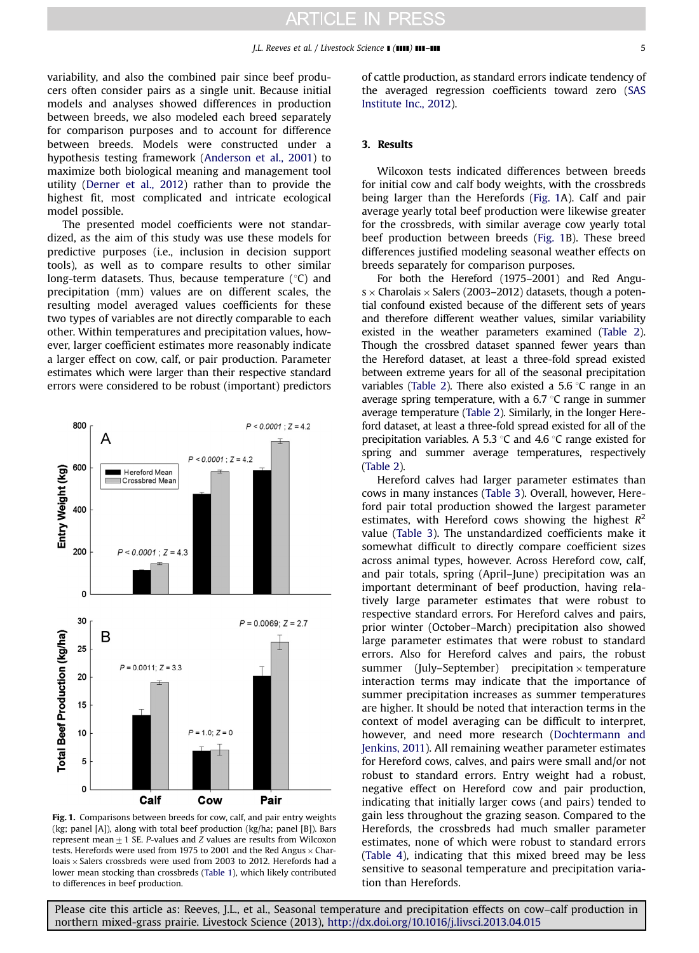variability, and also the combined pair since beef producers often consider pairs as a single unit. Because initial models and analyses showed differences in production between breeds, we also modeled each breed separately for comparison purposes and to account for difference between breeds. Models were constructed under a hypothesis testing framework [\(Anderson et al., 2001\)](#page-7-0) to maximize both biological meaning and management tool utility [\(Derner et al., 2012\)](#page-7-0) rather than to provide the highest fit, most complicated and intricate ecological model possible.

The presented model coefficients were not standardized, as the aim of this study was use these models for predictive purposes (i.e., inclusion in decision support tools), as well as to compare results to other similar long-term datasets. Thus, because temperature  $(°C)$  and precipitation (mm) values are on different scales, the resulting model averaged values coefficients for these two types of variables are not directly comparable to each other. Within temperatures and precipitation values, however, larger coefficient estimates more reasonably indicate a larger effect on cow, calf, or pair production. Parameter estimates which were larger than their respective standard errors were considered to be robust (important) predictors



Fig. 1. Comparisons between breeds for cow, calf, and pair entry weights (kg; panel [A]), along with total beef production (kg/ha; panel [B]). Bars represent mean  $+1$  SE. P-values and Z values are results from Wilcoxon tests. Herefords were used from 1975 to 2001 and the Red Angus  $\times$  Charloais  $\times$  Salers crossbreds were used from 2003 to 2012. Herefords had a lower mean stocking than crossbreds [\(Table 1](#page-2-0)), which likely contributed to differences in beef production.

of cattle production, as standard errors indicate tendency of the averaged regression coefficients toward zero [\(SAS](#page-8-0) [Institute Inc., 2012](#page-8-0)).

## 3. Results

Wilcoxon tests indicated differences between breeds for initial cow and calf body weights, with the crossbreds being larger than the Herefords (Fig. 1A). Calf and pair average yearly total beef production were likewise greater for the crossbreds, with similar average cow yearly total beef production between breeds (Fig. 1B). These breed differences justified modeling seasonal weather effects on breeds separately for comparison purposes.

For both the Hereford (1975–2001) and Red Angu $s \times$  Charolais  $\times$  Salers (2003–2012) datasets, though a potential confound existed because of the different sets of years and therefore different weather values, similar variability existed in the weather parameters examined [\(Table 2](#page-5-0)). Though the crossbred dataset spanned fewer years than the Hereford dataset, at least a three-fold spread existed between extreme years for all of the seasonal precipitation variables ([Table 2\)](#page-5-0). There also existed a 5.6  $\degree$ C range in an average spring temperature, with a  $6.7 \degree C$  range in summer average temperature [\(Table 2](#page-5-0)). Similarly, in the longer Hereford dataset, at least a three-fold spread existed for all of the precipitation variables. A 5.3  $\degree$ C and 4.6  $\degree$ C range existed for spring and summer average temperatures, respectively ([Table 2](#page-5-0)).

Hereford calves had larger parameter estimates than cows in many instances [\(Table 3\)](#page-5-0). Overall, however, Hereford pair total production showed the largest parameter estimates, with Hereford cows showing the highest  $R^2$ value ([Table 3](#page-5-0)). The unstandardized coefficients make it somewhat difficult to directly compare coefficient sizes across animal types, however. Across Hereford cow, calf, and pair totals, spring (April–June) precipitation was an important determinant of beef production, having relatively large parameter estimates that were robust to respective standard errors. For Hereford calves and pairs, prior winter (October–March) precipitation also showed large parameter estimates that were robust to standard errors. Also for Hereford calves and pairs, the robust summer (July–September) precipitation  $\times$  temperature interaction terms may indicate that the importance of summer precipitation increases as summer temperatures are higher. It should be noted that interaction terms in the context of model averaging can be difficult to interpret, however, and need more research ([Dochtermann and](#page-7-0) [Jenkins, 2011](#page-7-0)). All remaining weather parameter estimates for Hereford cows, calves, and pairs were small and/or not robust to standard errors. Entry weight had a robust, negative effect on Hereford cow and pair production, indicating that initially larger cows (and pairs) tended to gain less throughout the grazing season. Compared to the Herefords, the crossbreds had much smaller parameter estimates, none of which were robust to standard errors ([Table 4\)](#page-6-0), indicating that this mixed breed may be less sensitive to seasonal temperature and precipitation variation than Herefords.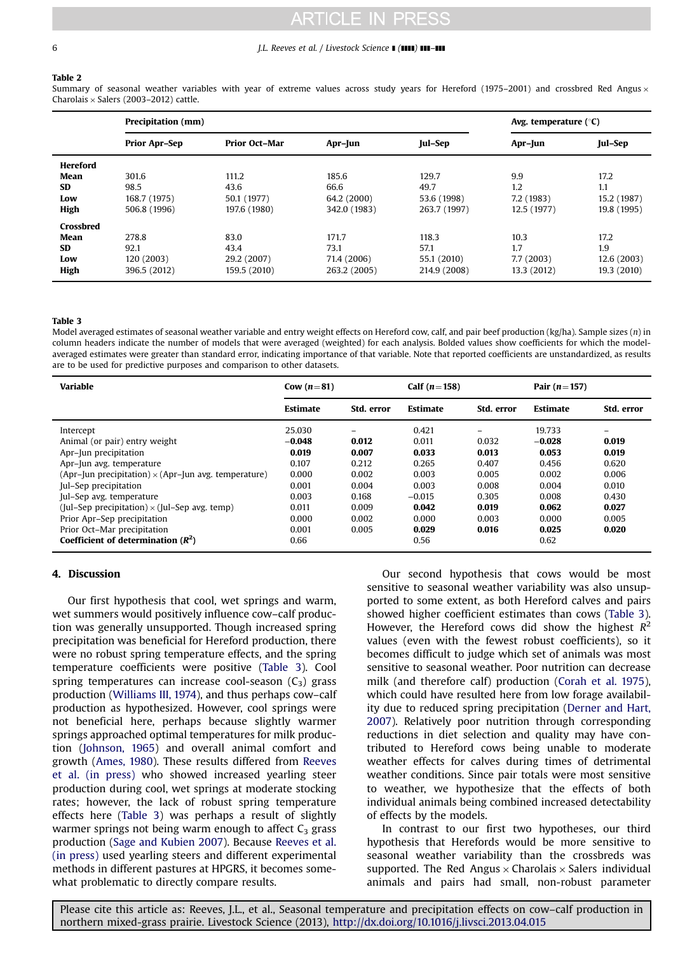#### <span id="page-5-0"></span>6 **6** *J.L. Reeves et al. / Livestock Science* **1 (1111) 111-111**

#### Table 2

Summary of seasonal weather variables with year of extreme values across study years for Hereford (1975–2001) and crossbred Red Angus  $\times$ Charolais  $\times$  Salers (2003–2012) cattle.

|                  | Precipitation (mm)   | Avg. temperature $(°C)$ |              |              |             |             |
|------------------|----------------------|-------------------------|--------------|--------------|-------------|-------------|
|                  | <b>Prior Apr-Sep</b> | <b>Prior Oct-Mar</b>    | Apr-Jun      | Jul-Sep      | Apr-Jun     | Jul-Sep     |
| <b>Hereford</b>  |                      |                         |              |              |             |             |
| Mean             | 301.6                | 111.2                   | 185.6        | 129.7        | 9.9         | 17.2        |
| <b>SD</b>        | 98.5                 | 43.6                    | 66.6         | 49.7         | 1.2         | 1.1         |
| Low              | 168.7 (1975)         | 50.1 (1977)             | 64.2 (2000)  | 53.6 (1998)  | 7.2 (1983)  | 15.2 (1987) |
| High             | 506.8 (1996)         | 197.6 (1980)            | 342.0 (1983) | 263.7 (1997) | 12.5 (1977) | 19.8 (1995) |
| <b>Crossbred</b> |                      |                         |              |              |             |             |
| Mean             | 278.8                | 83.0                    | 171.7        | 118.3        | 10.3        | 17.2        |
| <b>SD</b>        | 92.1                 | 43.4                    | 73.1         | 57.1         | 1.7         | 1.9         |
| Low              | 120 (2003)           | 29.2 (2007)             | 71.4 (2006)  | 55.1 (2010)  | 7.7 (2003)  | 12.6 (2003) |
| High             | 396.5 (2012)         | 159.5 (2010)            | 263.2 (2005) | 214.9 (2008) | 13.3 (2012) | 19.3 (2010) |

#### Table 3

Model averaged estimates of seasonal weather variable and entry weight effects on Hereford cow, calf, and pair beef production (kg/ha). Sample sizes (n) in column headers indicate the number of models that were averaged (weighted) for each analysis. Bolded values show coefficients for which the modelaveraged estimates were greater than standard error, indicating importance of that variable. Note that reported coefficients are unstandardized, as results are to be used for predictive purposes and comparison to other datasets.

| <b>Variable</b>                                             | Cow $(n=81)$    |            | Calf $(n=158)$  |            | Pair $(n=157)$  |            |
|-------------------------------------------------------------|-----------------|------------|-----------------|------------|-----------------|------------|
|                                                             | <b>Estimate</b> | Std. error | <b>Estimate</b> | Std. error | <b>Estimate</b> | Std. error |
| Intercept                                                   | 25.030          |            | 0.421           | -          | 19.733          | -          |
| Animal (or pair) entry weight                               | $-0.048$        | 0.012      | 0.011           | 0.032      | $-0.028$        | 0.019      |
| Apr-Jun precipitation                                       | 0.019           | 0.007      | 0.033           | 0.013      | 0.053           | 0.019      |
| Apr-Jun avg. temperature                                    | 0.107           | 0.212      | 0.265           | 0.407      | 0.456           | 0.620      |
| (Apr-Jun precipitation) $\times$ (Apr-Jun avg. temperature) | 0.000           | 0.002      | 0.003           | 0.005      | 0.002           | 0.006      |
| Jul-Sep precipitation                                       | 0.001           | 0.004      | 0.003           | 0.008      | 0.004           | 0.010      |
| Jul-Sep avg. temperature                                    | 0.003           | 0.168      | $-0.015$        | 0.305      | 0.008           | 0.430      |
| (Jul–Sep precipitation) $\times$ (Jul–Sep avg. temp)        | 0.011           | 0.009      | 0.042           | 0.019      | 0.062           | 0.027      |
| Prior Apr-Sep precipitation                                 | 0.000           | 0.002      | 0.000           | 0.003      | 0.000           | 0.005      |
| Prior Oct-Mar precipitation                                 | 0.001           | 0.005      | 0.029           | 0.016      | 0.025           | 0.020      |
| Coefficient of determination $(R^2)$                        | 0.66            |            | 0.56            |            | 0.62            |            |

## 4. Discussion

Our first hypothesis that cool, wet springs and warm, wet summers would positively influence cow–calf production was generally unsupported. Though increased spring precipitation was beneficial for Hereford production, there were no robust spring temperature effects, and the spring temperature coefficients were positive (Table 3). Cool spring temperatures can increase cool-season  $(C_3)$  grass production ([Williams III, 1974\)](#page-8-0), and thus perhaps cow–calf production as hypothesized. However, cool springs were not beneficial here, perhaps because slightly warmer springs approached optimal temperatures for milk production ([Johnson, 1965\)](#page-7-0) and overall animal comfort and growth ([Ames, 1980\)](#page-7-0). These results differed from [Reeves](#page-8-0) [et al. \(in press\)](#page-8-0) who showed increased yearling steer production during cool, wet springs at moderate stocking rates; however, the lack of robust spring temperature effects here (Table 3) was perhaps a result of slightly warmer springs not being warm enough to affect  $C_3$  grass production [\(Sage and Kubien 2007\)](#page-8-0). Because [Reeves et al.](#page-8-0) [\(in press\)](#page-8-0) used yearling steers and different experimental methods in different pastures at HPGRS, it becomes somewhat problematic to directly compare results.

Our second hypothesis that cows would be most sensitive to seasonal weather variability was also unsupported to some extent, as both Hereford calves and pairs showed higher coefficient estimates than cows (Table 3). However, the Hereford cows did show the highest  $R^2$ values (even with the fewest robust coefficients), so it becomes difficult to judge which set of animals was most sensitive to seasonal weather. Poor nutrition can decrease milk (and therefore calf) production [\(Corah et al. 1975](#page-7-0)), which could have resulted here from low forage availability due to reduced spring precipitation ([Derner and Hart,](#page-7-0) [2007](#page-7-0)). Relatively poor nutrition through corresponding reductions in diet selection and quality may have contributed to Hereford cows being unable to moderate weather effects for calves during times of detrimental weather conditions. Since pair totals were most sensitive to weather, we hypothesize that the effects of both individual animals being combined increased detectability of effects by the models.

In contrast to our first two hypotheses, our third hypothesis that Herefords would be more sensitive to seasonal weather variability than the crossbreds was supported. The Red Angus  $\times$  Charolais  $\times$  Salers individual animals and pairs had small, non-robust parameter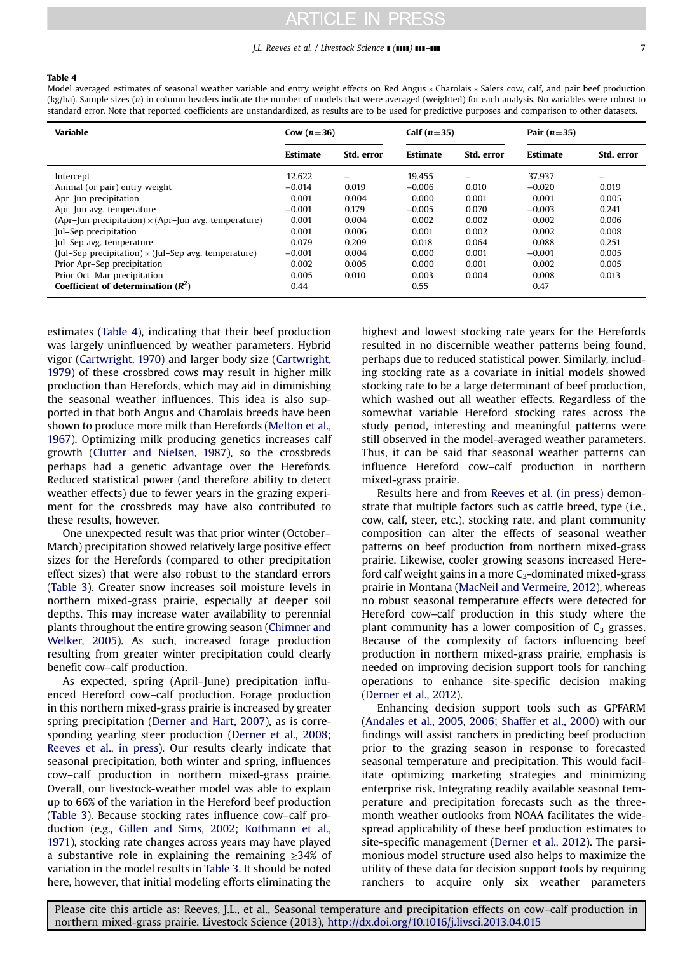#### $J.L.$  Reeves et al. / Livestock Science  $\blacksquare$  ( $\blacksquare$ )  $\blacksquare$ ]  $\blacksquare$

#### <span id="page-6-0"></span>Table 4

Model averaged estimates of seasonal weather variable and entry weight effects on Red Angus  $\times$  Charolais  $\times$  Salers cow, calf, and pair beef production (kg/ha). Sample sizes (n) in column headers indicate the number of models that were averaged (weighted) for each analysis. No variables were robust to standard error. Note that reported coefficients are unstandardized, as results are to be used for predictive purposes and comparison to other datasets.

| <b>Variable</b>                                             | Cow $(n=36)$    |            | Calf $(n=35)$   |            | Pair $(n=35)$   |            |
|-------------------------------------------------------------|-----------------|------------|-----------------|------------|-----------------|------------|
|                                                             | <b>Estimate</b> | Std. error | <b>Estimate</b> | Std. error | <b>Estimate</b> | Std. error |
| Intercept                                                   | 12.622          |            | 19.455          | -          | 37.937          | -          |
| Animal (or pair) entry weight                               | $-0.014$        | 0.019      | $-0.006$        | 0.010      | $-0.020$        | 0.019      |
| Apr-Jun precipitation                                       | 0.001           | 0.004      | 0.000           | 0.001      | 0.001           | 0.005      |
| Apr-Jun avg. temperature                                    | $-0.001$        | 0.179      | $-0.005$        | 0.070      | $-0.003$        | 0.241      |
| (Apr-Jun precipitation) $\times$ (Apr-Jun avg. temperature) | 0.001           | 0.004      | 0.002           | 0.002      | 0.002           | 0.006      |
| Jul–Sep precipitation                                       | 0.001           | 0.006      | 0.001           | 0.002      | 0.002           | 0.008      |
| Jul-Sep avg. temperature                                    | 0.079           | 0.209      | 0.018           | 0.064      | 0.088           | 0.251      |
| (Jul–Sep precipitation) $\times$ (Jul–Sep avg. temperature) | $-0.001$        | 0.004      | 0.000           | 0.001      | $-0.001$        | 0.005      |
| Prior Apr-Sep precipitation                                 | 0.002           | 0.005      | 0.000           | 0.001      | 0.002           | 0.005      |
| Prior Oct-Mar precipitation                                 | 0.005           | 0.010      | 0.003           | 0.004      | 0.008           | 0.013      |
| Coefficient of determination $(R^2)$                        | 0.44            |            | 0.55            |            | 0.47            |            |

estimates (Table 4), indicating that their beef production was largely uninfluenced by weather parameters. Hybrid vigor [\(Cartwright, 1970](#page-7-0)) and larger body size [\(Cartwright,](#page-7-0) [1979](#page-7-0)) of these crossbred cows may result in higher milk production than Herefords, which may aid in diminishing the seasonal weather influences. This idea is also supported in that both Angus and Charolais breeds have been shown to produce more milk than Herefords [\(Melton et al.,](#page-7-0) [1967](#page-7-0)). Optimizing milk producing genetics increases calf growth ([Clutter and Nielsen, 1987\)](#page-7-0), so the crossbreds perhaps had a genetic advantage over the Herefords. Reduced statistical power (and therefore ability to detect weather effects) due to fewer years in the grazing experiment for the crossbreds may have also contributed to these results, however.

One unexpected result was that prior winter (October– March) precipitation showed relatively large positive effect sizes for the Herefords (compared to other precipitation effect sizes) that were also robust to the standard errors ([Table 3](#page-5-0)). Greater snow increases soil moisture levels in northern mixed-grass prairie, especially at deeper soil depths. This may increase water availability to perennial plants throughout the entire growing season [\(Chimner and](#page-7-0) [Welker, 2005](#page-7-0)). As such, increased forage production resulting from greater winter precipitation could clearly benefit cow–calf production.

As expected, spring (April–June) precipitation influenced Hereford cow–calf production. Forage production in this northern mixed-grass prairie is increased by greater spring precipitation ([Derner and Hart, 2007\)](#page-7-0), as is corresponding yearling steer production ([Derner et al., 2008](#page-7-0); [Reeves et al., in press](#page-8-0)). Our results clearly indicate that seasonal precipitation, both winter and spring, influences cow–calf production in northern mixed-grass prairie. Overall, our livestock-weather model was able to explain up to 66% of the variation in the Hereford beef production ([Table 3\)](#page-5-0). Because stocking rates influence cow–calf production (e.g., [Gillen and Sims, 2002](#page-7-0); [Kothmann et al.,](#page-7-0) [1971\)](#page-7-0), stocking rate changes across years may have played a substantive role in explaining the remaining ≥34% of variation in the model results in [Table 3.](#page-5-0) It should be noted here, however, that initial modeling efforts eliminating the highest and lowest stocking rate years for the Herefords resulted in no discernible weather patterns being found, perhaps due to reduced statistical power. Similarly, including stocking rate as a covariate in initial models showed stocking rate to be a large determinant of beef production, which washed out all weather effects. Regardless of the somewhat variable Hereford stocking rates across the study period, interesting and meaningful patterns were still observed in the model-averaged weather parameters. Thus, it can be said that seasonal weather patterns can influence Hereford cow–calf production in northern mixed-grass prairie.

Results here and from [Reeves et al. \(in press\)](#page-8-0) demonstrate that multiple factors such as cattle breed, type (i.e., cow, calf, steer, etc.), stocking rate, and plant community composition can alter the effects of seasonal weather patterns on beef production from northern mixed-grass prairie. Likewise, cooler growing seasons increased Hereford calf weight gains in a more  $C_3$ -dominated mixed-grass prairie in Montana ([MacNeil and Vermeire, 2012](#page-7-0)), whereas no robust seasonal temperature effects were detected for Hereford cow–calf production in this study where the plant community has a lower composition of  $C_3$  grasses. Because of the complexity of factors influencing beef production in northern mixed-grass prairie, emphasis is needed on improving decision support tools for ranching operations to enhance site-specific decision making ([Derner et al., 2012\)](#page-7-0).

Enhancing decision support tools such as GPFARM ([Andales et al., 2005,](#page-7-0) [2006](#page-7-0); [Shaffer et al., 2000\)](#page-8-0) with our findings will assist ranchers in predicting beef production prior to the grazing season in response to forecasted seasonal temperature and precipitation. This would facilitate optimizing marketing strategies and minimizing enterprise risk. Integrating readily available seasonal temperature and precipitation forecasts such as the threemonth weather outlooks from NOAA facilitates the widespread applicability of these beef production estimates to site-specific management [\(Derner et al., 2012](#page-7-0)). The parsimonious model structure used also helps to maximize the utility of these data for decision support tools by requiring ranchers to acquire only six weather parameters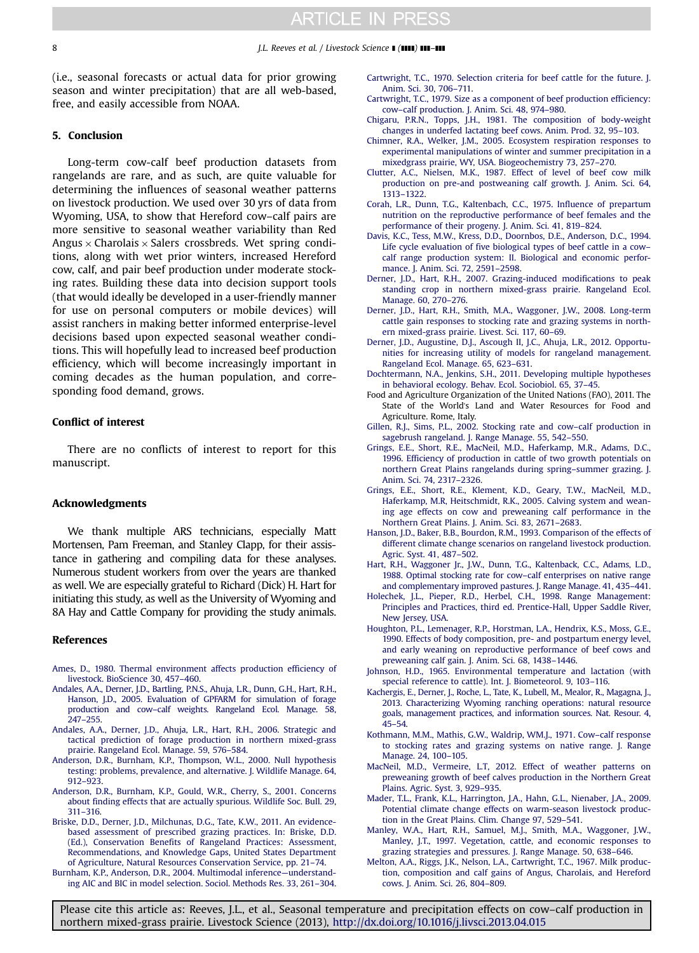<span id="page-7-0"></span>(i.e., seasonal forecasts or actual data for prior growing season and winter precipitation) that are all web-based, free, and easily accessible from NOAA.

### 5. Conclusion

Long-term cow-calf beef production datasets from rangelands are rare, and as such, are quite valuable for determining the influences of seasonal weather patterns on livestock production. We used over 30 yrs of data from Wyoming, USA, to show that Hereford cow–calf pairs are more sensitive to seasonal weather variability than Red Angus  $\times$  Charolais  $\times$  Salers crossbreds. Wet spring conditions, along with wet prior winters, increased Hereford cow, calf, and pair beef production under moderate stocking rates. Building these data into decision support tools (that would ideally be developed in a user-friendly manner for use on personal computers or mobile devices) will assist ranchers in making better informed enterprise-level decisions based upon expected seasonal weather conditions. This will hopefully lead to increased beef production efficiency, which will become increasingly important in coming decades as the human population, and corresponding food demand, grows.

### Conflict of interest

There are no conflicts of interest to report for this manuscript.

#### Acknowledgments

We thank multiple ARS technicians, especially Matt Mortensen, Pam Freeman, and Stanley Clapp, for their assistance in gathering and compiling data for these analyses. Numerous student workers from over the years are thanked as well. We are especially grateful to Richard (Dick) H. Hart for initiating this study, as well as the University of Wyoming and 8A Hay and Cattle Company for providing the study animals.

#### References

- [Ames, D., 1980. Thermal environment affects production efficiency of](http://refhub.elsevier.com/S1871-1413(13)00203-5/sbref1) [livestock. BioScience 30, 457](http://refhub.elsevier.com/S1871-1413(13)00203-5/sbref1)–460.
- [Andales, A.A., Derner, J.D., Bartling, P.N.S., Ahuja, L.R., Dunn, G.H., Hart, R.H.,](http://refhub.elsevier.com/S1871-1413(13)00203-5/sbref2) [Hanson, J.D., 2005. Evaluation of GPFARM for simulation of forage](http://refhub.elsevier.com/S1871-1413(13)00203-5/sbref2) production and cow–[calf weights. Rangeland Ecol. Manage. 58,](http://refhub.elsevier.com/S1871-1413(13)00203-5/sbref2) 247–[255.](http://refhub.elsevier.com/S1871-1413(13)00203-5/sbref2)
- [Andales, A.A., Derner, J.D., Ahuja, L.R., Hart, R.H., 2006. Strategic and](http://refhub.elsevier.com/S1871-1413(13)00203-5/sbref3) [tactical prediction of forage production in northern mixed-grass](http://refhub.elsevier.com/S1871-1413(13)00203-5/sbref3) [prairie. Rangeland Ecol. Manage. 59, 576](http://refhub.elsevier.com/S1871-1413(13)00203-5/sbref3)–584.
- [Anderson, D.R., Burnham, K.P., Thompson, W.L., 2000. Null hypothesis](http://refhub.elsevier.com/S1871-1413(13)00203-5/sbref4) [testing: problems, prevalence, and alternative. J. Wildlife Manage. 64,](http://refhub.elsevier.com/S1871-1413(13)00203-5/sbref4) 912–[923.](http://refhub.elsevier.com/S1871-1413(13)00203-5/sbref4)
- [Anderson, D.R., Burnham, K.P., Gould, W.R., Cherry, S., 2001. Concerns](http://refhub.elsevier.com/S1871-1413(13)00203-5/sbref5) [about finding effects that are actually spurious. Wildlife Soc. Bull. 29,](http://refhub.elsevier.com/S1871-1413(13)00203-5/sbref5) 311–[316.](http://refhub.elsevier.com/S1871-1413(13)00203-5/sbref5)
- [Briske, D.D., Derner, J.D., Milchunas, D.G., Tate, K.W., 2011. An evidence](http://refhub.elsevier.com/S1871-1413(13)00203-5/sbref6)[based assessment of prescribed grazing practices. In: Briske, D.D.](http://refhub.elsevier.com/S1871-1413(13)00203-5/sbref6) [\(Ed.\), Conservation Benefits of Rangeland Practices: Assessment,](http://refhub.elsevier.com/S1871-1413(13)00203-5/sbref6) [Recommendations, and Knowledge Gaps, United States Department](http://refhub.elsevier.com/S1871-1413(13)00203-5/sbref6) [of Agriculture, Natural Resources Conservation Service, pp. 21](http://refhub.elsevier.com/S1871-1413(13)00203-5/sbref6)–74.
- [Burnham, K.P., Anderson, D.R., 2004. Multimodal inference](http://refhub.elsevier.com/S1871-1413(13)00203-5/sbref7)—understand[ing AIC and BIC in model selection. Sociol. Methods Res. 33, 261](http://refhub.elsevier.com/S1871-1413(13)00203-5/sbref7)–304.
- [Cartwright, T.C., 1970. Selection criteria for beef cattle for the future. J.](http://refhub.elsevier.com/S1871-1413(13)00203-5/sbref8) [Anim. Sci. 30, 706](http://refhub.elsevier.com/S1871-1413(13)00203-5/sbref8)–711.
- [Cartwright, T.C., 1979. Size as a component of beef production efficiency:](http://refhub.elsevier.com/S1871-1413(13)00203-5/sbref9) cow–[calf production. J. Anim. Sci. 48, 974](http://refhub.elsevier.com/S1871-1413(13)00203-5/sbref9)–980.
- [Chigaru, P.R.N., Topps, J.H., 1981. The composition of body-weight](http://refhub.elsevier.com/S1871-1413(13)00203-5/sbref10) [changes in underfed lactating beef cows. Anim. Prod. 32, 95](http://refhub.elsevier.com/S1871-1413(13)00203-5/sbref10)–103.
- [Chimner, R.A., Welker, J.M., 2005. Ecosystem respiration responses to](http://refhub.elsevier.com/S1871-1413(13)00203-5/sbref11) [experimental manipulations of winter and summer precipitation in a](http://refhub.elsevier.com/S1871-1413(13)00203-5/sbref11) [mixedgrass prairie, WY, USA. Biogeochemistry 73, 257](http://refhub.elsevier.com/S1871-1413(13)00203-5/sbref11)–270.
- [Clutter, A.C., Nielsen, M.K., 1987. Effect of level of beef cow milk](http://refhub.elsevier.com/S1871-1413(13)00203-5/sbref12) [production on pre-and postweaning calf growth. J. Anim. Sci. 64,](http://refhub.elsevier.com/S1871-1413(13)00203-5/sbref12) 1313–[1322.](http://refhub.elsevier.com/S1871-1413(13)00203-5/sbref12)
- [Corah, L.R., Dunn, T.G., Kaltenbach, C.C., 1975. Influence of prepartum](http://refhub.elsevier.com/S1871-1413(13)00203-5/sbref13) [nutrition on the reproductive performance of beef females and the](http://refhub.elsevier.com/S1871-1413(13)00203-5/sbref13) [performance of their progeny. J. Anim. Sci. 41, 819](http://refhub.elsevier.com/S1871-1413(13)00203-5/sbref13)–824.
- [Davis, K.C., Tess, M.W., Kress, D.D., Doornbos, D.E., Anderson, D.C., 1994.](http://refhub.elsevier.com/S1871-1413(13)00203-5/sbref14) [Life cycle evaluation of five biological types of beef cattle in a cow](http://refhub.elsevier.com/S1871-1413(13)00203-5/sbref14)– [calf range production system: II. Biological and economic perfor](http://refhub.elsevier.com/S1871-1413(13)00203-5/sbref14)[mance. J. Anim. Sci. 72, 2591](http://refhub.elsevier.com/S1871-1413(13)00203-5/sbref14)–2598.
- [Derner, J.D., Hart, R.H., 2007. Grazing-induced modifications to peak](http://refhub.elsevier.com/S1871-1413(13)00203-5/sbref15) [standing crop in northern mixed-grass prairie. Rangeland Ecol.](http://refhub.elsevier.com/S1871-1413(13)00203-5/sbref15) [Manage. 60, 270](http://refhub.elsevier.com/S1871-1413(13)00203-5/sbref15)–276.
- [Derner, J.D., Hart, R.H., Smith, M.A., Waggoner, J.W., 2008. Long-term](http://refhub.elsevier.com/S1871-1413(13)00203-5/sbref16) [cattle gain responses to stocking rate and grazing systems in north](http://refhub.elsevier.com/S1871-1413(13)00203-5/sbref16)[ern mixed-grass prairie. Livest. Sci. 117, 60](http://refhub.elsevier.com/S1871-1413(13)00203-5/sbref16)–69.
- [Derner, J.D., Augustine, D.J., Ascough II, J.C., Ahuja, L.R., 2012. Opportu](http://refhub.elsevier.com/S1871-1413(13)00203-5/sbref17)[nities for increasing utility of models for rangeland management.](http://refhub.elsevier.com/S1871-1413(13)00203-5/sbref17) [Rangeland Ecol. Manage. 65, 623](http://refhub.elsevier.com/S1871-1413(13)00203-5/sbref17)–631.
- [Dochtermann, N.A., Jenkins, S.H., 2011. Developing multiple hypotheses](http://refhub.elsevier.com/S1871-1413(13)00203-5/sbref18) [in behavioral ecology. Behav. Ecol. Sociobiol. 65, 37](http://refhub.elsevier.com/S1871-1413(13)00203-5/sbref18)–45.
- Food and Agriculture Organization of the United Nations (FAO), 2011. The State of the World's Land and Water Resources for Food and Agriculture. Rome, Italy.
- [Gillen, R.J., Sims, P.L., 2002. Stocking rate and cow](http://refhub.elsevier.com/S1871-1413(13)00203-5/sbref19)–calf production in [sagebrush rangeland. J. Range Manage. 55, 542](http://refhub.elsevier.com/S1871-1413(13)00203-5/sbref19)–550.
- [Grings, E.E., Short, R.E., MacNeil, M.D., Haferkamp, M.R., Adams, D.C.,](http://refhub.elsevier.com/S1871-1413(13)00203-5/sbref20) [1996. Efficiency of production in cattle of two growth potentials on](http://refhub.elsevier.com/S1871-1413(13)00203-5/sbref20) [northern Great Plains rangelands during spring](http://refhub.elsevier.com/S1871-1413(13)00203-5/sbref20)–summer grazing. J. [Anim. Sci. 74, 2317](http://refhub.elsevier.com/S1871-1413(13)00203-5/sbref20)–2326.
- [Grings, E.E., Short, R.E., Klement, K.D., Geary, T.W., MacNeil, M.D.,](http://refhub.elsevier.com/S1871-1413(13)00203-5/sbref21) [Haferkamp, M.R, Heitschmidt, R.K., 2005. Calving system and wean](http://refhub.elsevier.com/S1871-1413(13)00203-5/sbref21)[ing age effects on cow and preweaning calf performance in the](http://refhub.elsevier.com/S1871-1413(13)00203-5/sbref21) [Northern Great Plains. J. Anim. Sci. 83, 2671](http://refhub.elsevier.com/S1871-1413(13)00203-5/sbref21)–2683.
- [Hanson, J.D., Baker, B.B., Bourdon, R.M., 1993. Comparison of the effects of](http://refhub.elsevier.com/S1871-1413(13)00203-5/sbref22) [different climate change scenarios on rangeland livestock production.](http://refhub.elsevier.com/S1871-1413(13)00203-5/sbref22) [Agric. Syst. 41, 487](http://refhub.elsevier.com/S1871-1413(13)00203-5/sbref22)–502.
- [Hart, R.H., Waggoner Jr., J.W., Dunn, T.G., Kaltenback, C.C., Adams, L.D.,](http://refhub.elsevier.com/S1871-1413(13)00203-5/sbref23) [1988. Optimal stocking rate for cow](http://refhub.elsevier.com/S1871-1413(13)00203-5/sbref23)–calf enterprises on native range [and complementary improved pastures. J. Range Manage. 41, 435](http://refhub.elsevier.com/S1871-1413(13)00203-5/sbref23)–441.
- [Holechek, J.L., Pieper, R.D., Herbel, C.H., 1998. Range Management:](http://refhub.elsevier.com/S1871-1413(13)00203-5/sbref24) [Principles and Practices, third ed. Prentice-Hall, Upper Saddle River,](http://refhub.elsevier.com/S1871-1413(13)00203-5/sbref24) [New Jersey, USA.](http://refhub.elsevier.com/S1871-1413(13)00203-5/sbref24)
- [Houghton, P.L., Lemenager, R.P., Horstman, L.A., Hendrix, K.S., Moss, G.E.,](http://refhub.elsevier.com/S1871-1413(13)00203-5/sbref25) [1990. Effects of body composition, pre- and postpartum energy level,](http://refhub.elsevier.com/S1871-1413(13)00203-5/sbref25) [and early weaning on reproductive performance of beef cows and](http://refhub.elsevier.com/S1871-1413(13)00203-5/sbref25) [preweaning calf gain. J. Anim. Sci. 68, 1438](http://refhub.elsevier.com/S1871-1413(13)00203-5/sbref25)–1446.
- [Johnson, H.D., 1965. Environmental temperature and lactation \(with](http://refhub.elsevier.com/S1871-1413(13)00203-5/sbref26) [special reference to cattle\). Int. J. Biometeorol. 9, 103](http://refhub.elsevier.com/S1871-1413(13)00203-5/sbref26)–116.
- [Kachergis, E., Derner, J., Roche, L., Tate, K., Lubell, M., Mealor, R., Magagna, J.,](http://refhub.elsevier.com/S1871-1413(13)00203-5/sbref27) [2013. Characterizing Wyoming ranching operations: natural resource](http://refhub.elsevier.com/S1871-1413(13)00203-5/sbref27) [goals, management practices, and information sources. Nat. Resour. 4,](http://refhub.elsevier.com/S1871-1413(13)00203-5/sbref27) 45–[54.](http://refhub.elsevier.com/S1871-1413(13)00203-5/sbref27)
- [Kothmann, M.M., Mathis, G.W., Waldrip, WM.J., 1971. Cow](http://refhub.elsevier.com/S1871-1413(13)00203-5/sbref28)–calf response [to stocking rates and grazing systems on native range. J. Range](http://refhub.elsevier.com/S1871-1413(13)00203-5/sbref28) [Manage. 24, 100](http://refhub.elsevier.com/S1871-1413(13)00203-5/sbref28)–105.
- [MacNeil, M.D., Vermeire, L.T, 2012. Effect of weather patterns on](http://refhub.elsevier.com/S1871-1413(13)00203-5/sbref29) [preweaning growth of beef calves production in the Northern Great](http://refhub.elsevier.com/S1871-1413(13)00203-5/sbref29) [Plains. Agric. Syst. 3, 929](http://refhub.elsevier.com/S1871-1413(13)00203-5/sbref29)–935.
- [Mader, T.L., Frank, K.L., Harrington, J.A., Hahn, G.L., Nienaber, J.A., 2009.](http://refhub.elsevier.com/S1871-1413(13)00203-5/sbref30) [Potential climate change effects on warm-season livestock produc](http://refhub.elsevier.com/S1871-1413(13)00203-5/sbref30)[tion in the Great Plains. Clim. Change 97, 529](http://refhub.elsevier.com/S1871-1413(13)00203-5/sbref30)–541.
- [Manley, W.A., Hart, R.H., Samuel, M.J., Smith, M.A., Waggoner, J.W.,](http://refhub.elsevier.com/S1871-1413(13)00203-5/sbref31) [Manley, J.T., 1997. Vegetation, cattle, and economic responses to](http://refhub.elsevier.com/S1871-1413(13)00203-5/sbref31) [grazing strategies and pressures. J. Range Manage. 50, 638](http://refhub.elsevier.com/S1871-1413(13)00203-5/sbref31)–646.
- [Melton, A.A., Riggs, J.K., Nelson, L.A., Cartwright, T.C., 1967. Milk produc](http://refhub.elsevier.com/S1871-1413(13)00203-5/sbref32)[tion, composition and calf gains of Angus, Charolais, and Hereford](http://refhub.elsevier.com/S1871-1413(13)00203-5/sbref32) [cows. J. Anim. Sci. 26, 804](http://refhub.elsevier.com/S1871-1413(13)00203-5/sbref32)–809.